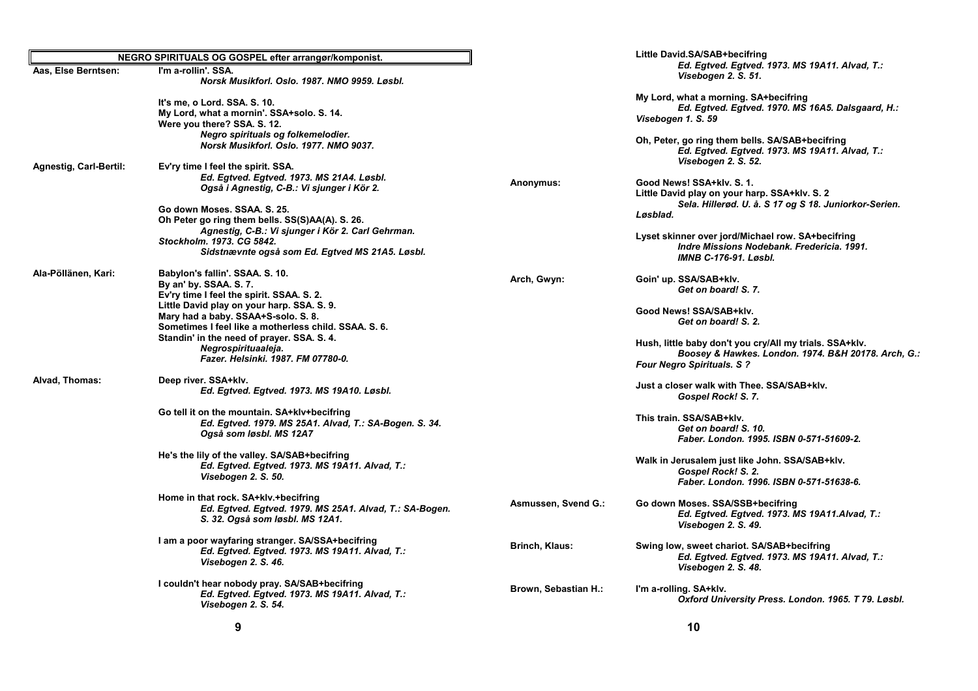| NEGRO SPIRITUALS OG GOSPEL efter arrangør/komponist. |                                                                                                                                                                  |                             | Little David.SA/SAB+becifring                                                                                                                       |  |
|------------------------------------------------------|------------------------------------------------------------------------------------------------------------------------------------------------------------------|-----------------------------|-----------------------------------------------------------------------------------------------------------------------------------------------------|--|
| Aas, Else Berntsen:                                  | I'm a-rollin'. SSA.<br>Norsk Musikforl, Oslo, 1987, NMO 9959, Løsbl,                                                                                             |                             | Ed. Egtved. Egtved. 1973. MS 19A11. Alvad, T.:<br>Visebogen 2. S. 51.                                                                               |  |
|                                                      | It's me, o Lord. SSA. S. 10.<br>My Lord, what a mornin'. SSA+solo. S. 14.<br>Were you there? SSA. S. 12.                                                         |                             | My Lord, what a morning. SA+becifring<br>Ed. Egtved. Egtved. 1970. MS 16A5. Dalsgaard, H.:<br>Visebogen 1. S. 59                                    |  |
|                                                      | Negro spirituals og folkemelodier.<br>Norsk Musikforl. Oslo. 1977. NMO 9037.                                                                                     |                             | Oh, Peter, go ring them bells. SA/SAB+becifring<br>Ed. Egtved. Egtved. 1973. MS 19A11. Alvad, T.:<br>Visebogen 2. S. 52.                            |  |
| <b>Agnestig, Carl-Bertil:</b>                        | Ev'ry time I feel the spirit. SSA.                                                                                                                               |                             |                                                                                                                                                     |  |
|                                                      | Ed. Egtved. Egtved. 1973. MS 21A4. Løsbl.<br>Også i Agnestig, C-B.: Vi sjunger i Kör 2.                                                                          | Anonymus:                   | Good News! SSA+klv. S. 1.<br>Little David play on your harp. SSA+klv. S. 2                                                                          |  |
|                                                      | Go down Moses, SSAA, S. 25.<br>Oh Peter go ring them bells. SS(S)AA(A). S. 26.                                                                                   |                             | Sela. Hillerød. U. å. S 17 og S 18. Juniorkor-Serien.<br>Løsblad.                                                                                   |  |
|                                                      | Agnestig, C-B.: Vi sjunger i Kör 2. Carl Gehrman.<br>Stockholm. 1973. CG 5842.<br>Sidstnævnte også som Ed. Egtved MS 21A5. Løsbl.                                |                             | Lyset skinner over jord/Michael row. SA+becifring<br>Indre Missions Nodebank. Fredericia. 1991.<br><b>IMNB C-176-91, Løsbl.</b>                     |  |
| Ala-Pöllänen, Kari:                                  | Babylon's fallin'. SSAA. S. 10.<br>By an' by. SSAA. S. 7.                                                                                                        | Arch, Gwyn:                 | Goin' up. SSA/SAB+klv.<br>Get on board! S. 7.                                                                                                       |  |
|                                                      | Ev'ry time I feel the spirit. SSAA. S. 2.<br>Little David play on your harp. SSA. S. 9.<br>Mary had a baby. SSAA+S-solo. S. 8.                                   |                             | Good News! SSA/SAB+klv.<br>Get on board! S. 2.                                                                                                      |  |
|                                                      | Sometimes I feel like a motherless child. SSAA. S. 6.<br>Standin' in the need of prayer. SSA. S. 4.<br>Negrospirituaaleja.<br>Fazer, Helsinki, 1987, FM 07780-0. |                             | Hush, little baby don't you cry/All my trials. SSA+kly.<br>Boosey & Hawkes. London. 1974. B&H 20178. Arch, G.:<br><b>Four Negro Spirituals. S ?</b> |  |
| Alvad, Thomas:                                       | Deep river. SSA+klv.<br>Ed. Egtved. Egtved. 1973. MS 19A10. Løsbl.                                                                                               |                             | Just a closer walk with Thee. SSA/SAB+klv.<br>Gospel Rock! S. 7.                                                                                    |  |
|                                                      | Go tell it on the mountain. SA+klv+becifring<br>Ed. Egtved. 1979. MS 25A1. Alvad, T.: SA-Bogen. S. 34.<br>Også som løsbl. MS 12A7                                |                             | This train. SSA/SAB+klv.<br>Get on board! S. 10.<br>Faber. London. 1995. ISBN 0-571-51609-2.                                                        |  |
|                                                      | He's the lily of the valley. SA/SAB+becifring<br>Ed. Egtved. Egtved. 1973. MS 19A11. Alvad, T.:<br>Visebogen 2. S. 50.                                           |                             | Walk in Jerusalem just like John. SSA/SAB+klv.<br>Gospel Rock! S. 2.<br>Faber. London. 1996. ISBN 0-571-51638-6.                                    |  |
|                                                      | Home in that rock. SA+klv.+becifring<br>Ed. Egtved. Egtved. 1979. MS 25A1. Alvad, T.: SA-Bogen.<br>S. 32. Også som løsbl. MS 12A1.                               | Asmussen, Svend G.:         | Go down Moses. SSA/SSB+becifring<br>Ed. Egtved. Egtved. 1973. MS 19A11.Alvad, T.:<br>Visebogen 2. S. 49.                                            |  |
|                                                      | I am a poor wayfaring stranger. SA/SSA+becifring<br>Ed. Egtved. Egtved. 1973. MS 19A11. Alvad, T.:<br>Visebogen 2. S. 46.                                        | Brinch, Klaus:              | Swing low, sweet chariot. SA/SAB+becifring<br>Ed. Egtved. Egtved. 1973. MS 19A11. Alvad, T.:<br>Visebogen 2. S. 48.                                 |  |
|                                                      | I couldn't hear nobody pray. SA/SAB+becifring<br>Ed. Egtved. Egtved. 1973. MS 19A11. Alvad, T.:<br>Visebogen 2. S. 54.                                           | <b>Brown, Sebastian H.:</b> | I'm a-rolling. SA+klv.<br>Oxford University Press. London. 1965. T 79. Løsbl.                                                                       |  |
|                                                      |                                                                                                                                                                  |                             |                                                                                                                                                     |  |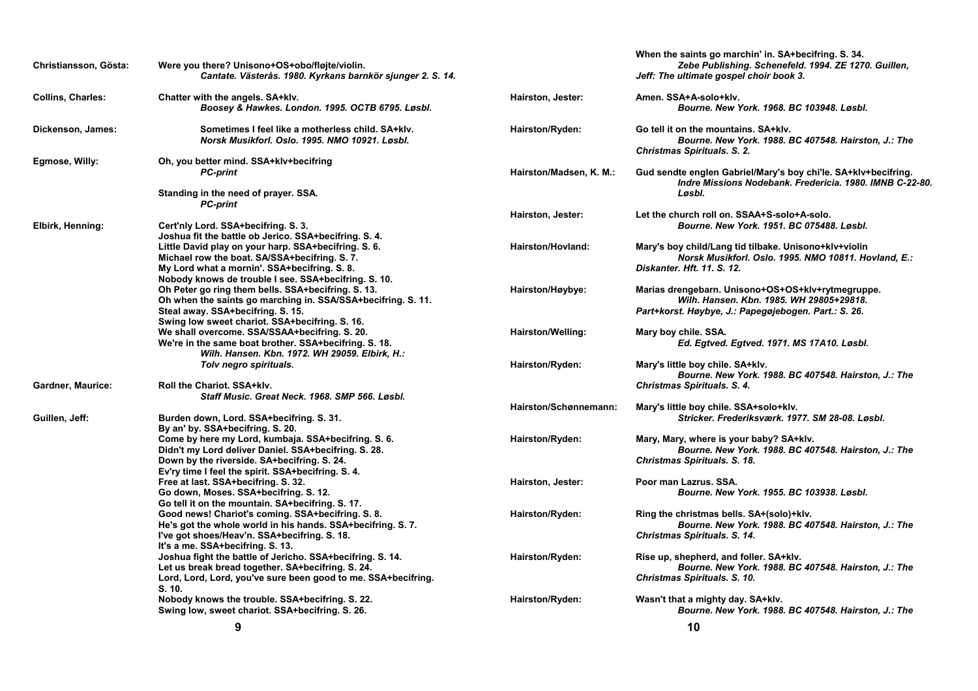| Christiansson, Gösta:    | Were you there? Unisono+OS+obo/fløjte/violin.<br>Cantate. Västerås. 1980. Kyrkans barnkör sjunger 2. S. 14.                                                                                                         |                         | When the saints go marchin' in. SA+becifring. S. 34.<br>Zebe Publishing. Schenefeld. 1994. ZE 1270. Guillen,<br>Jeff: The ultimate gospel choir book 3. |
|--------------------------|---------------------------------------------------------------------------------------------------------------------------------------------------------------------------------------------------------------------|-------------------------|---------------------------------------------------------------------------------------------------------------------------------------------------------|
| <b>Collins, Charles:</b> | Chatter with the angels. SA+klv.<br>Boosey & Hawkes. London. 1995. OCTB 6795. Løsbl.                                                                                                                                | Hairston, Jester:       | Amen. SSA+A-solo+klv.<br>Bourne. New York. 1968. BC 103948. Løsbl.                                                                                      |
| Dickenson, James:        | Sometimes I feel like a motherless child. SA+kly.<br>Norsk Musikforl. Oslo. 1995. NMO 10921. Løsbl.                                                                                                                 | Hairston/Ryden:         | Go tell it on the mountains. SA+klv.<br>Bourne. New York. 1988. BC 407548. Hairston, J.: The<br>Christmas Spirituals. S. 2.                             |
| Egmose, Willy:           | Oh, you better mind. SSA+klv+becifring<br><b>PC-print</b><br>Standing in the need of prayer. SSA.                                                                                                                   | Hairston/Madsen, K. M.: | Gud sendte englen Gabriel/Mary's boy chi'le. SA+klv+becifring.<br>Indre Missions Nodebank. Fredericia. 1980. IMNB C-22-80.<br>Løsbl.                    |
|                          | <b>PC-print</b>                                                                                                                                                                                                     |                         |                                                                                                                                                         |
| Elbirk, Henning:         | Cert'nly Lord. SSA+becifring. S. 3.<br>Joshua fit the battle ob Jerico. SSA+becifring. S. 4.                                                                                                                        | Hairston, Jester:       | Let the church roll on. SSAA+S-solo+A-solo.<br>Bourne. New York. 1951. BC 075488. Løsbl.                                                                |
|                          | Little David play on your harp. SSA+becifring. S. 6.<br>Michael row the boat. SA/SSA+becifring. S. 7.<br>My Lord what a mornin'. SSA+becifring. S. 8.                                                               | Hairston/Hovland:       | Mary's boy child/Lang tid tilbake. Unisono+klv+violin<br>Norsk Musikforl. Oslo. 1995. NMO 10811. Hovland, E.:<br>Diskanter, Hft. 11, S. 12.             |
|                          | Nobody knows de trouble I see. SSA+becifring. S. 10.<br>Oh Peter go ring them bells. SSA+becifring. S. 13.<br>Oh when the saints go marching in. SSA/SSA+becifring. S. 11.<br>Steal away. SSA+becifring. S. 15.     | Hairston/Høybye:        | Marias drengebarn. Unisono+OS+OS+klv+rytmegruppe.<br>Wilh. Hansen. Kbn. 1985. WH 29805+29818.<br>Part+korst. Høybye, J.: Papegøjebogen. Part.: S. 26.   |
|                          | Swing low sweet chariot. SSA+becifring. S. 16.<br>We shall overcome. SSA/SSAA+becifring. S. 20.<br>We're in the same boat brother. SSA+becifring. S. 18.<br>Wilh. Hansen. Kbn. 1972. WH 29059. Elbirk, H.:          | Hairston/Welling:       | Mary boy chile. SSA.<br>Ed. Egtved. Egtved. 1971. MS 17A10. Løsbl.                                                                                      |
|                          | Toly negro spirituals.                                                                                                                                                                                              | Hairston/Ryden:         | Mary's little boy chile. SA+klv.<br>Bourne. New York. 1988. BC 407548. Hairston, J.: The                                                                |
| <b>Gardner, Maurice:</b> | Roll the Chariot. SSA+klv.<br>Staff Music. Great Neck. 1968. SMP 566. Løsbl.                                                                                                                                        |                         | Christmas Spirituals. S. 4.                                                                                                                             |
| Guillen, Jeff:           | Burden down, Lord. SSA+becifring. S. 31.<br>By an' by. SSA+becifring. S. 20.                                                                                                                                        | Hairston/Schønnemann:   | Mary's little boy chile. SSA+solo+klv.<br>Stricker, Frederiksværk, 1977, SM 28-08, Løsbl,                                                               |
|                          | Come by here my Lord, kumbaja. SSA+becifring. S. 6.<br>Didn't my Lord deliver Daniel. SSA+becifring. S. 28.<br>Down by the riverside. SA+becifring. S. 24.                                                          | Hairston/Ryden:         | Mary, Mary, where is your baby? SA+klv.<br>Bourne. New York. 1988. BC 407548. Hairston, J.: The<br>Christmas Spirituals. S. 18.                         |
|                          | Ev'ry time I feel the spirit. SSA+becifring. S. 4.<br>Free at last. SSA+becifring. S. 32.<br>Go down, Moses. SSA+becifring. S. 12.                                                                                  | Hairston, Jester:       | Poor man Lazrus, SSA.<br>Bourne. New York. 1955. BC 103938. Løsbl.                                                                                      |
|                          | Go tell it on the mountain. SA+becifring. S. 17.<br>Good news! Chariot's coming. SSA+becifring. S. 8.<br>He's got the whole world in his hands. SSA+becifring. S.7.<br>I've got shoes/Heav'n. SSA+becifring. S. 18. | Hairston/Ryden:         | Ring the christmas bells. SA+(solo)+klv.<br>Bourne. New York. 1988. BC 407548. Hairston, J.: The<br>Christmas Spirituals. S. 14.                        |
|                          | It's a me. SSA+becifring. S. 13.<br>Joshua fight the battle of Jericho. SSA+becifring. S. 14.<br>Let us break bread together. SA+becifring. S. 24.<br>Lord, Lord, Lord, you've sure been good to me. SSA+becifring. | Hairston/Ryden:         | Rise up, shepherd, and foller. SA+kly.<br>Bourne. New York. 1988. BC 407548. Hairston, J.: The<br>Christmas Spirituals. S. 10.                          |
|                          | S. 10.<br>Nobody knows the trouble. SSA+becifring. S. 22.<br>Swing low, sweet chariot. SSA+becifring. S. 26.                                                                                                        | Hairston/Ryden:         | Wasn't that a mighty day. SA+klv.<br>Bourne. New York. 1988. BC 407548. Hairston, J.: The                                                               |
|                          | 9                                                                                                                                                                                                                   |                         | 10                                                                                                                                                      |

 $10$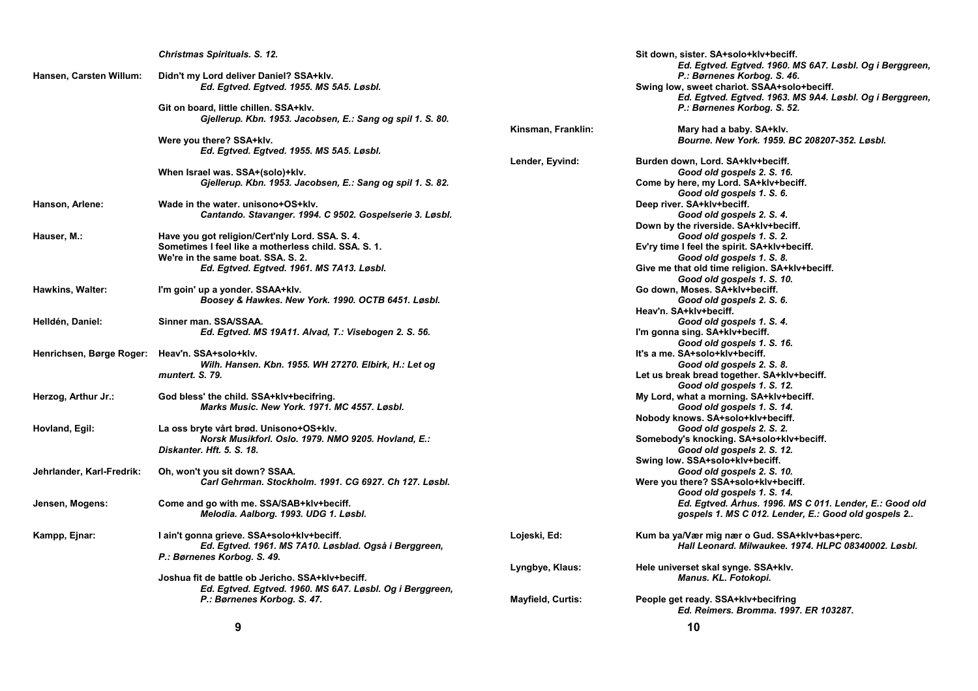|                           | Christmas Spirituals. S. 12.                                                                                 |                          | Sit down, sister. SA+solo+klv+beciff.<br>Ed. Egtved. Egtved. 1960. MS 6A7. Løsbl. Og i Berggreen,              |
|---------------------------|--------------------------------------------------------------------------------------------------------------|--------------------------|----------------------------------------------------------------------------------------------------------------|
| Hansen, Carsten Willum:   | Didn't my Lord deliver Daniel? SSA+klv.<br>Ed. Egtved. Egtved. 1955. MS 5A5. Løsbl.                          |                          | P.: Børnenes Korbog. S. 46.<br>Swing low, sweet chariot. SSAA+solo+beciff.                                     |
|                           | Git on board, little chillen. SSA+klv.<br>Gjellerup. Kbn. 1953. Jacobsen, E.: Sang og spil 1. S. 80.         |                          | Ed. Egtved. Egtved. 1963. MS 9A4. Løsbl. Og i Berggreen,<br>P.: Børnenes Korbog. S. 52.                        |
|                           | Were you there? SSA+klv.                                                                                     | Kinsman, Franklin:       | Mary had a baby. SA+klv.<br>Bourne. New York. 1959. BC 208207-352. Løsbl.                                      |
|                           | Ed. Egtved. Egtved. 1955. MS 5A5. Løsbl.                                                                     |                          |                                                                                                                |
|                           |                                                                                                              | Lender, Eyvind:          | Burden down, Lord. SA+klv+beciff.                                                                              |
|                           | When Israel was. SSA+(solo)+klv.                                                                             |                          | Good old gospels 2. S. 16.                                                                                     |
|                           | Gjellerup. Kbn. 1953. Jacobsen, E.: Sang og spil 1. S. 82.                                                   |                          | Come by here, my Lord. SA+klv+beciff.<br>Good old gospels 1. S. 6.                                             |
| Hanson, Arlene:           | Wade in the water, unisono+OS+klv.                                                                           |                          | Deep river. SA+klv+beciff.                                                                                     |
|                           | Cantando. Stavanger. 1994. C 9502. Gospelserie 3. Løsbl.                                                     |                          | Good old gospels 2. S. 4.                                                                                      |
|                           |                                                                                                              |                          | Down by the riverside. SA+klv+beciff.                                                                          |
| Hauser, M.:               | Have you got religion/Cert'nly Lord. SSA. S. 4.                                                              |                          | Good old gospels 1. S. 2.                                                                                      |
|                           | Sometimes I feel like a motherless child. SSA, S. 1.                                                         |                          | Ev'ry time I feel the spirit. SA+kIv+beciff.                                                                   |
|                           | We're in the same boat. SSA. S. 2.<br>Ed. Egtved. Egtved. 1961. MS 7A13. Løsbl.                              |                          | Good old gospels 1. S. 8.<br>Give me that old time religion. SA+klv+beciff.<br>Good old gospels 1. S. 10.      |
| Hawkins, Walter:          | I'm goin' up a yonder. SSAA+klv.                                                                             |                          | Go down, Moses. SA+klv+beciff.                                                                                 |
|                           | Boosey & Hawkes. New York. 1990. OCTB 6451. Løsbl.                                                           |                          | Good old gospels 2. S. 6.                                                                                      |
|                           |                                                                                                              |                          | Heav'n. SA+klv+beciff.                                                                                         |
| Helldén, Daniel:          | Sinner man. SSA/SSAA.                                                                                        |                          | Good old gospels 1. S. 4.                                                                                      |
|                           | Ed. Egtved. MS 19A11. Alvad, T.: Visebogen 2. S. 56.                                                         |                          | I'm gonna sing. SA+klv+beciff.                                                                                 |
|                           |                                                                                                              |                          | Good old gospels 1. S. 16.                                                                                     |
| Henrichsen, Børge Roger:  | Heav'n. SSA+solo+klv.                                                                                        |                          | It's a me. SA+solo+klv+beciff.                                                                                 |
|                           | Wilh. Hansen. Kbn. 1955. WH 27270. Elbirk, H.: Let og                                                        |                          | Good old gospels 2. S. 8.                                                                                      |
|                           | muntert. S. 79.                                                                                              |                          | Let us break bread together. SA+klv+beciff.                                                                    |
|                           |                                                                                                              |                          | Good old gospels 1. S. 12.                                                                                     |
| Herzog, Arthur Jr.:       | God bless' the child. SSA+klv+becifring.                                                                     |                          | My Lord, what a morning. SA+klv+beciff.                                                                        |
|                           | Marks Music. New York. 1971. MC 4557. Løsbl.                                                                 |                          | Good old gospels 1. S. 14.                                                                                     |
|                           |                                                                                                              |                          | Nobody knows. SA+solo+klv+beciff.                                                                              |
| Hovland, Egil:            | La oss bryte vårt brød. Unisono+OS+klv.                                                                      |                          | Good old gospels 2. S. 2.                                                                                      |
|                           | Norsk Musikforl. Oslo. 1979. NMO 9205. Hovland, E.:                                                          |                          | Somebody's knocking. SA+solo+klv+beciff.                                                                       |
|                           | Diskanter. Hft. 5. S. 18.                                                                                    |                          | Good old gospels 2. S. 12.                                                                                     |
|                           |                                                                                                              |                          | Swing low. SSA+solo+klv+beciff.                                                                                |
| Jehrlander, Karl-Fredrik: | Oh, won't you sit down? SSAA.                                                                                |                          | Good old gospels 2. S. 10.                                                                                     |
|                           | Carl Gehrman. Stockholm. 1991. CG 6927. Ch 127. Løsbl.                                                       |                          | Were you there? SSA+solo+klv+beciff.                                                                           |
|                           |                                                                                                              |                          | Good old gospels 1. S. 14.                                                                                     |
| Jensen, Mogens:           | Come and go with me. SSA/SAB+klv+beciff.<br>Melodia. Aalborg. 1993. UDG 1. Løsbl.                            |                          | Ed. Egtved. Arhus. 1996. MS C 011. Lender, E.: Good old<br>gospels 1. MS C 012. Lender, E.: Good old gospels 2 |
| Kampp, Ejnar:             | I ain't gonna grieve. SSA+solo+klv+beciff.                                                                   | Lojeski, Ed:             | Kum ba ya/Vær mig nær o Gud. SSA+klv+bas+perc.                                                                 |
|                           | Ed. Egtved. 1961. MS 7A10. Løsblad. Også i Berggreen,                                                        |                          | Hall Leonard. Milwaukee. 1974. HLPC 08340002. Løsbl.                                                           |
|                           | P.: Børnenes Korbog. S. 49.                                                                                  |                          |                                                                                                                |
|                           |                                                                                                              | Lyngbye, Klaus:          | Hele universet skal synge. SSA+klv.                                                                            |
|                           | Joshua fit de battle ob Jericho. SSA+klv+beciff.<br>Ed. Egtved. Egtved. 1960. MS 6A7. Løsbl. Og i Berggreen, |                          | Manus. KL. Fotokopi.                                                                                           |
|                           |                                                                                                              |                          |                                                                                                                |
|                           | P.: Børnenes Korbog. S. 47.                                                                                  | <b>Mayfield, Curtis:</b> | People get ready. SSA+klv+becifring                                                                            |
|                           |                                                                                                              |                          | Ed. Reimers. Bromma. 1997. ER 103287.                                                                          |
|                           |                                                                                                              |                          |                                                                                                                |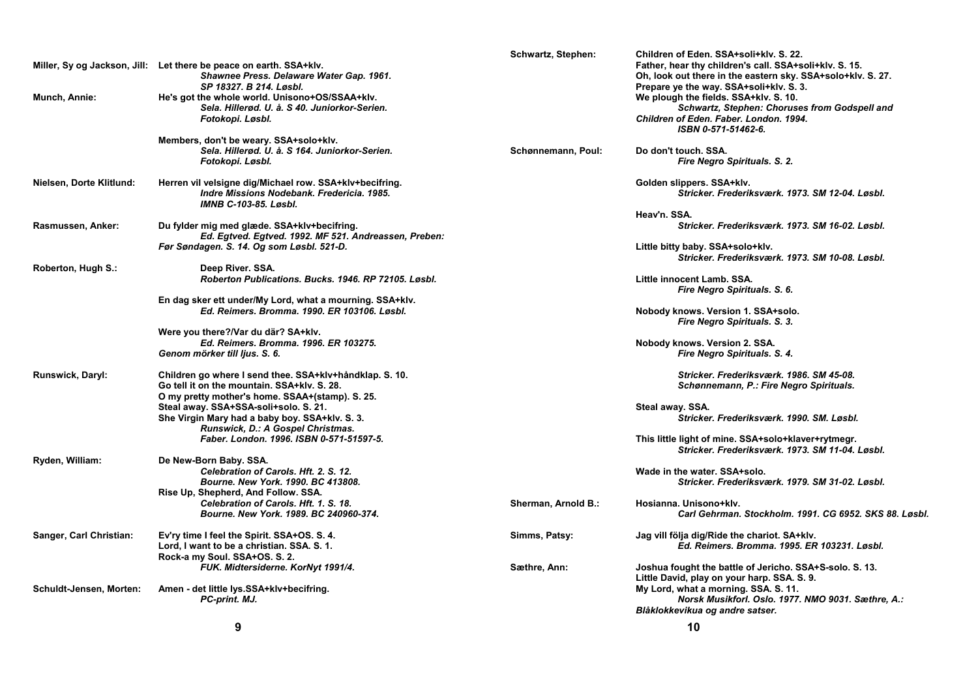|                          | Miller, Sy og Jackson, Jill: Let there be peace on earth. SSA+klv.  | Schwartz, Stephen:  | Children of Eden. SSA+soli+klv. S. 22.<br>Father, hear thy children's call. SSA+soli+klv. S. 15.       |
|--------------------------|---------------------------------------------------------------------|---------------------|--------------------------------------------------------------------------------------------------------|
|                          | Shawnee Press. Delaware Water Gap. 1961.<br>SP 18327. B 214. Løsbl. |                     | Oh, look out there in the eastern sky. SSA+solo+klv. S. 27.<br>Prepare ye the way. SSA+soli+klv. S. 3. |
| Munch, Annie:            | He's got the whole world. Unisono+OS/SSAA+klv.                      |                     | We plough the fields. SSA+klv. S. 10.                                                                  |
|                          | Sela. Hillerød. U. å. S 40. Juniorkor-Serien.                       |                     | Schwartz, Stephen: Choruses from Godspell and                                                          |
|                          | Fotokopi. Løsbl.                                                    |                     | Children of Eden. Faber. London. 1994.                                                                 |
|                          |                                                                     |                     | ISBN 0-571-51462-6.                                                                                    |
|                          | Members, don't be weary. SSA+solo+klv.                              |                     |                                                                                                        |
|                          | Sela. Hillerød. U. å. S 164. Juniorkor-Serien.                      | Schønnemann, Poul:  | Do don't touch, SSA.                                                                                   |
|                          | Fotokopi. Løsbl.                                                    |                     | Fire Negro Spirituals. S. 2.                                                                           |
| Nielsen, Dorte Klitlund: | Herren vil velsigne dig/Michael row. SSA+klv+becifring.             |                     | Golden slippers. SSA+klv.                                                                              |
|                          | Indre Missions Nodebank. Fredericia. 1985.                          |                     | Stricker. Frederiksværk. 1973. SM 12-04. Løsbl.                                                        |
|                          | <b>IMNB C-103-85, Løsbl.</b>                                        |                     |                                                                                                        |
|                          |                                                                     |                     | Heav'n. SSA.                                                                                           |
| Rasmussen, Anker:        | Du fylder mig med glæde. SSA+klv+becifring.                         |                     | Stricker, Frederiksværk, 1973, SM 16-02, Løsbl,                                                        |
|                          | Ed. Egtved. Egtved. 1992. MF 521. Andreassen, Preben:               |                     |                                                                                                        |
|                          | Før Søndagen. S. 14. Og som Løsbl. 521-D.                           |                     | Little bitty baby. SSA+solo+klv.                                                                       |
|                          |                                                                     |                     | Stricker. Frederiksværk. 1973. SM 10-08. Løsbl.                                                        |
| Roberton, Hugh S.:       | Deep River. SSA.                                                    |                     |                                                                                                        |
|                          | Roberton Publications, Bucks, 1946, RP 72105, Løsbl.                |                     | Little innocent Lamb. SSA.                                                                             |
|                          |                                                                     |                     | Fire Negro Spirituals. S. 6.                                                                           |
|                          | En dag sker ett under/My Lord, what a mourning. SSA+klv.            |                     |                                                                                                        |
|                          | Ed. Reimers. Bromma. 1990. ER 103106. Løsbl.                        |                     | Nobody knows. Version 1. SSA+solo.                                                                     |
|                          |                                                                     |                     | Fire Negro Spirituals. S. 3.                                                                           |
|                          | Were you there?/Var du där? SA+klv.                                 |                     |                                                                                                        |
|                          | Ed. Reimers. Bromma. 1996. ER 103275.                               |                     | Nobody knows. Version 2. SSA.                                                                          |
|                          | Genom mörker till ljus. S. 6.                                       |                     | Fire Negro Spirituals. S. 4.                                                                           |
| <b>Runswick, Daryl:</b>  | Children go where I send thee. SSA+klv+håndklap. S. 10.             |                     | Stricker, Frederiksværk, 1986, SM 45-08,                                                               |
|                          | Go tell it on the mountain. SSA+klv. S. 28.                         |                     | Schønnemann, P.: Fire Negro Spirituals.                                                                |
|                          | O my pretty mother's home. SSAA+(stamp). S. 25.                     |                     |                                                                                                        |
|                          | Steal away. SSA+SSA-soli+solo. S. 21.                               |                     | Steal away. SSA.                                                                                       |
|                          | She Virgin Mary had a baby boy. SSA+klv. S. 3.                      |                     | Stricker, Frederiksværk, 1990, SM, Løsbl,                                                              |
|                          | Runswick, D.: A Gospel Christmas.                                   |                     |                                                                                                        |
|                          | Faber. London. 1996. ISBN 0-571-51597-5.                            |                     | This little light of mine. SSA+solo+klaver+rytmegr.                                                    |
|                          |                                                                     |                     | Stricker, Frederiksværk, 1973, SM 11-04, Løsbl,                                                        |
| Ryden, William:          | De New-Born Baby. SSA.                                              |                     |                                                                                                        |
|                          | Celebration of Carols. Hft. 2. S. 12.                               |                     | Wade in the water. SSA+solo.                                                                           |
|                          | Bourne. New York. 1990. BC 413808.                                  |                     | Stricker. Frederiksværk. 1979. SM 31-02. Løsbl.                                                        |
|                          | Rise Up, Shepherd, And Follow. SSA.                                 |                     |                                                                                                        |
|                          | Celebration of Carols. Hft. 1. S. 18.                               | Sherman, Arnold B.: | Hosianna. Unisono+klv.                                                                                 |
|                          | Bourne, New York, 1989, BC 240960-374.                              |                     | Carl Gehrman. Stockholm. 1991. CG 6952. SKS 88. Løsbl.                                                 |
| Sanger, Carl Christian:  | Ev'ry time I feel the Spirit. SSA+OS. S. 4.                         | Simms, Patsy:       | Jag vill följa dig/Ride the chariot. SA+klv.                                                           |
|                          | Lord, I want to be a christian. SSA. S. 1.                          |                     | Ed. Reimers. Bromma. 1995. ER 103231. Løsbl.                                                           |
|                          | Rock-a my Soul. SSA+OS. S. 2.                                       |                     |                                                                                                        |
|                          | FUK. Midtersiderne. KorNyt 1991/4.                                  | Sæthre, Ann:        | Joshua fought the battle of Jericho. SSA+S-solo. S. 13.                                                |
|                          |                                                                     |                     | Little David, play on your harp. SSA. S. 9.                                                            |
| Schuldt-Jensen, Morten:  | Amen - det little lys.SSA+klv+becifring.                            |                     | My Lord, what a morning. SSA. S. 11.                                                                   |
|                          | PC-print. MJ.                                                       |                     | Norsk Musikforl. Oslo. 1977. NMO 9031. Sæthre, A.:                                                     |
|                          |                                                                     |                     | Blåklokkevikua og andre satser.                                                                        |